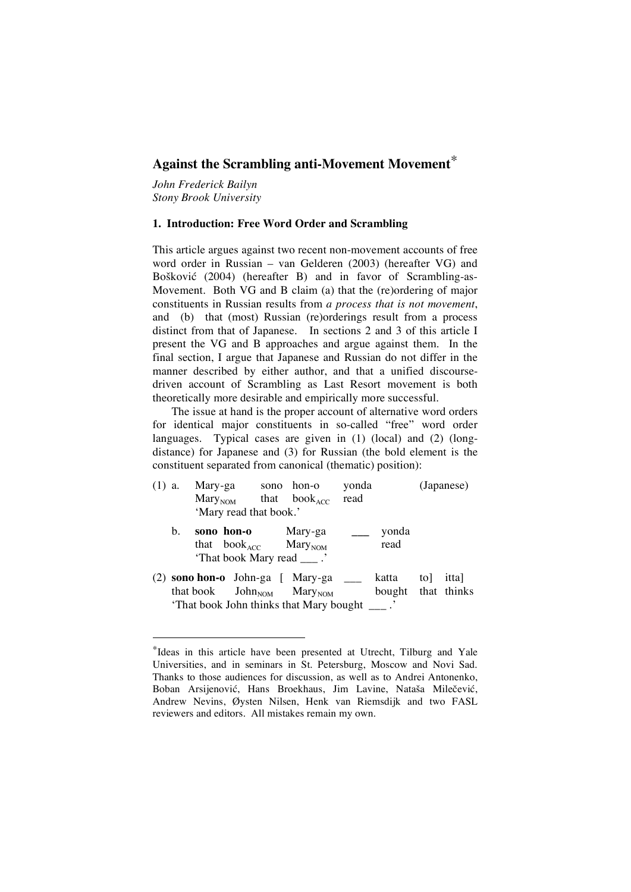# **Against the Scrambling anti-Movement Movement**\*

*John Frederick Bailyn Stony Brook University*

## **1. Introduction: Free Word Order and Scrambling**

This article argues against two recent non-movement accounts of free word order in Russian – van Gelderen (2003) (hereafter VG) and Bošković (2004) (hereafter B) and in favor of Scrambling-as-Movement. Both VG and B claim (a) that the (re)ordering of major constituents in Russian results from *a process that is not movement*, and (b) that (most) Russian (re)orderings result from a process distinct from that of Japanese. In sections 2 and 3 of this article I present the VG and B approaches and argue against them. In the final section, I argue that Japanese and Russian do not differ in the manner described by either author, and that a unified discoursedriven account of Scrambling as Last Resort movement is both theoretically more desirable and empirically more successful.

The issue at hand is the proper account of alternative word orders for identical major constituents in so-called "free" word order languages. Typical cases are given in (1) (local) and (2) (longdistance) for Japanese and (3) for Russian (the bold element is the constituent separated from canonical (thematic) position):

| $(1)$ a. |    | 'Mary read that book.' | Mary-ga sono hon-o yonda<br>$MaryNOM$ that book <sub>ACC</sub> read                                                                  |                             |     | (Japanese) |
|----------|----|------------------------|--------------------------------------------------------------------------------------------------------------------------------------|-----------------------------|-----|------------|
|          | b. |                        | sono hon-o Mary-ga<br>that $book_{ACC}$ Mary <sub>NOM</sub><br>'That book Mary read ___ .'                                           | ___ yonda<br>read           |     |            |
|          |    |                        | (2) <b>sono hon-o</b> John-ga [ Mary-ga ____<br>that book $John_{NOM}$ Mary <sub>NOM</sub><br>That book John thinks that Mary bought | katta<br>bought that thinks | tol | ittal      |

 <sup>\*</sup>Ideas in this article have been presented at Utrecht, Tilburg and Yale Universities, and in seminars in St. Petersburg, Moscow and Novi Sad. Thanks to those audiences for discussion, as well as to Andrei Antonenko, Boban Arsijenović, Hans Broekhaus, Jim Lavine, Nataša Milečević, Andrew Nevins, Øysten Nilsen, Henk van Riemsdijk and two FASL reviewers and editors. All mistakes remain my own.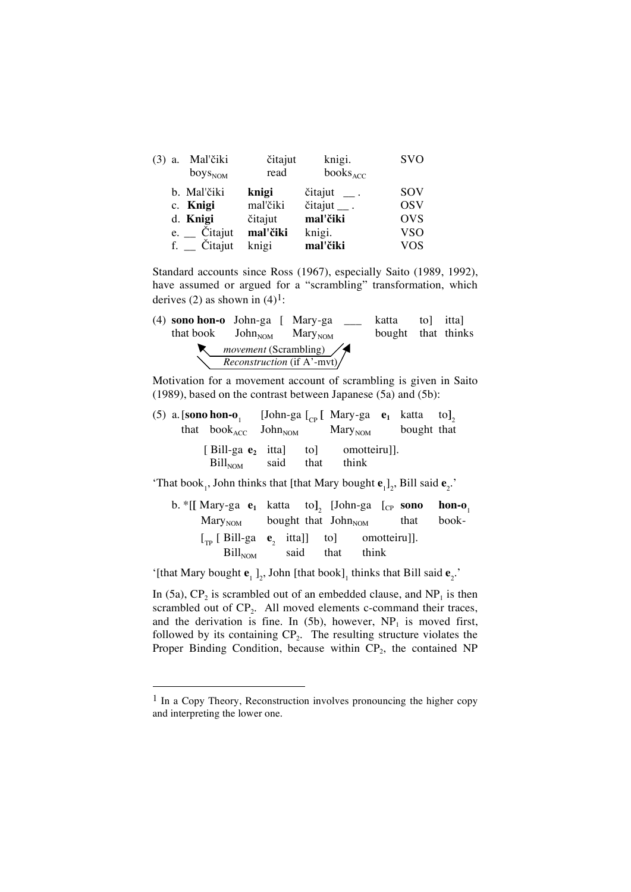| a. | Mal'čiki<br>$\rm{boys}_{\rm{NOM}}$ | čitajut<br>read | knigi.<br>$books_{ACC}$     | <b>SVO</b> |
|----|------------------------------------|-----------------|-----------------------------|------------|
|    | b. Mal'čiki                        | knigi           | $\check{c}$ itajut __.      | SOV        |
|    | c. Knigi                           | mal'čiki        | $\check{c}$ itajut $\_\_$ . | <b>OSV</b> |
|    | d. Knigi                           | čitajut         | mal'čiki                    | <b>OVS</b> |
|    | $e.$ $\dot{\phantom{a}}$ Citajut   | mal'čiki        | knigi.                      | <b>VSO</b> |
|    | f. _ Čitajut                       | knigi           | mal'čiki                    | <b>VOS</b> |

Standard accounts since Ross (1967), especially Saito (1989, 1992), have assumed or argued for a "scrambling" transformation, which derives (2) as shown in  $(4)^1$ :

| $(4)$ sono hon-o John-ga [ Mary-ga         |                                                                        | katta              | tol ittal |  |
|--------------------------------------------|------------------------------------------------------------------------|--------------------|-----------|--|
| that book $John_{NOM}$ Mary <sub>NOM</sub> |                                                                        | bought that thinks |           |  |
|                                            | <i>movement</i> (Scrambling) $\angle$<br>$Reconstruction$ (if A'-mvt)/ |                    |           |  |

Motivation for a movement account of scrambling is given in Saito (1989), based on the contrast between Japanese (5a) and (5b):

|  | (5) a. [sono hon-o <sub>1</sub> [John-ga $\begin{bmatrix} C_{\text{p}} \end{bmatrix}$ Mary-ga $\mathbf{e}_1$ katta to] <sub>2</sub> |  |       |  |  |
|--|-------------------------------------------------------------------------------------------------------------------------------------|--|-------|--|--|
|  | that $book_{ACC}$ John <sub>NOM</sub> Mary <sub>NOM</sub> bought that                                                               |  |       |  |  |
|  | [Bill-ga $e_2$ itta] to omotteiru].<br>$\text{Bill}_{\text{NOM}}$ said that                                                         |  | think |  |  |

'That book<sub>1</sub>, John thinks that [that Mary bought  $\mathbf{e}_{12}$ , Bill said  $\mathbf{e}_{2}$ .'

| b. *[[ Mary-ga <b>e</b> <sub>1</sub> katta to], [John-ga [ <sub>CP</sub> sono hon-o <sub>1</sub> ]                                                                                                      |           |       |       |
|---------------------------------------------------------------------------------------------------------------------------------------------------------------------------------------------------------|-----------|-------|-------|
| $\text{Mary}_{\text{NOM}}$ bought that $\text{John}_{\text{NOM}}$ that                                                                                                                                  |           |       | book- |
| $\begin{bmatrix} \Gamma_{\text{TD}} & \Gamma_{\text{BD}} & \Gamma_{\text{BD}} & \Gamma_{\text{BD}} & \Gamma_{\text{BD}} & \Gamma_{\text{BD}} \end{bmatrix}$ [Bill-ga <b>e</b> , itta]] to] omotteiru]]. |           |       |       |
| $\text{Bill}_{\text{NOM}}$                                                                                                                                                                              | said that | think |       |

'[that Mary bought  $\mathbf{e}_1$ ]<sub>2</sub>, John [that book]<sub>1</sub> thinks that Bill said  $\mathbf{e}_2$ <sup>2</sup>.

In (5a),  $CP_2$  is scrambled out of an embedded clause, and  $NP_1$  is then scrambled out of  $CP<sub>2</sub>$ . All moved elements c-command their traces, and the derivation is fine. In (5b), however,  $NP<sub>1</sub>$  is moved first, followed by its containing  $CP_2$ . The resulting structure violates the Proper Binding Condition, because within  $CP<sub>2</sub>$ , the contained NP

 $<sup>1</sup>$  In a Copy Theory, Reconstruction involves pronouncing the higher copy</sup> and interpreting the lower one.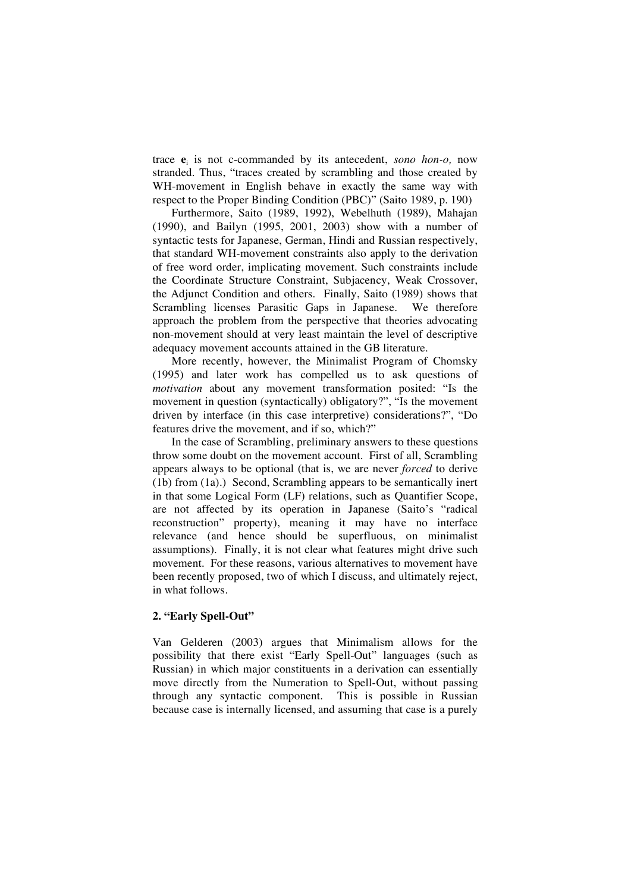trace **e**<sup>i</sup> is not c-commanded by its antecedent, *sono hon-o,* now stranded. Thus, "traces created by scrambling and those created by WH-movement in English behave in exactly the same way with respect to the Proper Binding Condition (PBC)" (Saito 1989, p. 190)

Furthermore, Saito (1989, 1992), Webelhuth (1989), Mahajan (1990), and Bailyn (1995, 2001, 2003) show with a number of syntactic tests for Japanese, German, Hindi and Russian respectively, that standard WH-movement constraints also apply to the derivation of free word order, implicating movement. Such constraints include the Coordinate Structure Constraint, Subjacency, Weak Crossover, the Adjunct Condition and others. Finally, Saito (1989) shows that Scrambling licenses Parasitic Gaps in Japanese. We therefore approach the problem from the perspective that theories advocating non-movement should at very least maintain the level of descriptive adequacy movement accounts attained in the GB literature.

More recently, however, the Minimalist Program of Chomsky (1995) and later work has compelled us to ask questions of *motivation* about any movement transformation posited: "Is the movement in question (syntactically) obligatory?", "Is the movement driven by interface (in this case interpretive) considerations?", "Do features drive the movement, and if so, which?"

In the case of Scrambling, preliminary answers to these questions throw some doubt on the movement account. First of all, Scrambling appears always to be optional (that is, we are never *forced* to derive (1b) from (1a).) Second, Scrambling appears to be semantically inert in that some Logical Form (LF) relations, such as Quantifier Scope, are not affected by its operation in Japanese (Saito's "radical reconstruction" property), meaning it may have no interface relevance (and hence should be superfluous, on minimalist assumptions). Finally, it is not clear what features might drive such movement. For these reasons, various alternatives to movement have been recently proposed, two of which I discuss, and ultimately reject, in what follows.

## **2. "Early Spell-Out"**

Van Gelderen (2003) argues that Minimalism allows for the possibility that there exist "Early Spell-Out" languages (such as Russian) in which major constituents in a derivation can essentially move directly from the Numeration to Spell-Out, without passing through any syntactic component. This is possible in Russian because case is internally licensed, and assuming that case is a purely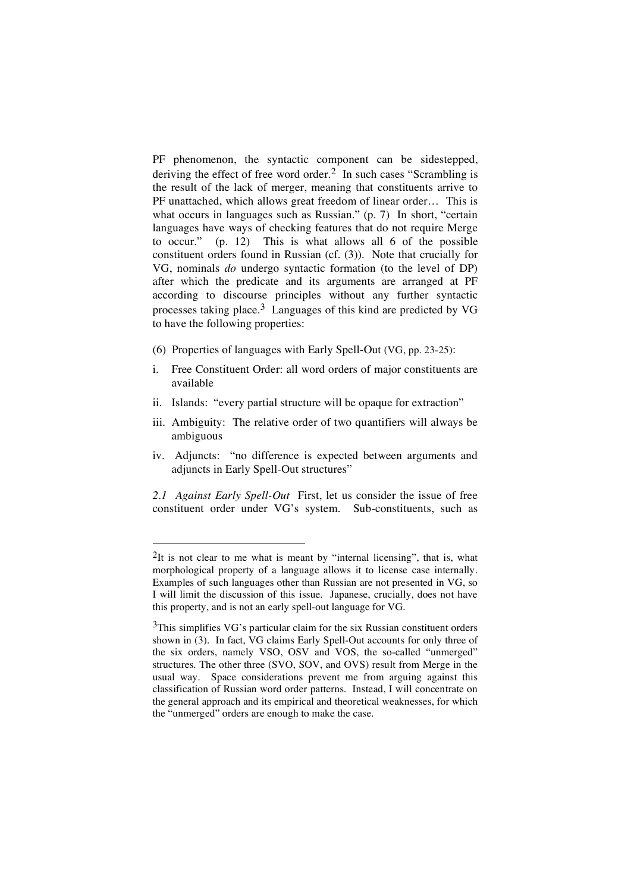PF phenomenon, the syntactic component can be sidestepped, deriving the effect of free word order.<sup>2</sup> In such cases "Scrambling is the result of the lack of merger, meaning that constituents arrive to PF unattached, which allows great freedom of linear order… This is what occurs in languages such as Russian." (p. 7) In short, "certain languages have ways of checking features that do not require Merge to occur." (p. 12) This is what allows all 6 of the possible constituent orders found in Russian (cf. (3)). Note that crucially for VG, nominals *do* undergo syntactic formation (to the level of DP) after which the predicate and its arguments are arranged at PF according to discourse principles without any further syntactic processes taking place.3 Languages of this kind are predicted by VG to have the following properties:

- (6) Properties of languages with Early Spell-Out (VG, pp. 23-25):
- i. Free Constituent Order: all word orders of major constituents are available
- ii. Islands: "every partial structure will be opaque for extraction"
- iii. Ambiguity: The relative order of two quantifiers will always be ambiguous
- iv. Adjuncts: "no difference is expected between arguments and adjuncts in Early Spell-Out structures"

*2.1 Against Early Spell-Out* First, let us consider the issue of free constituent order under VG's system. Sub-constituents, such as

<sup>&</sup>lt;sup>2</sup>It is not clear to me what is meant by "internal licensing", that is, what morphological property of a language allows it to license case internally. Examples of such languages other than Russian are not presented in VG, so I will limit the discussion of this issue. Japanese, crucially, does not have this property, and is not an early spell-out language for VG.

<sup>&</sup>lt;sup>3</sup>This simplifies VG's particular claim for the six Russian constituent orders shown in (3). In fact, VG claims Early Spell-Out accounts for only three of the six orders, namely VSO, OSV and VOS, the so-called "unmerged" structures. The other three (SVO, SOV, and OVS) result from Merge in the usual way. Space considerations prevent me from arguing against this classification of Russian word order patterns. Instead, I will concentrate on the general approach and its empirical and theoretical weaknesses, for which the "unmerged" orders are enough to make the case.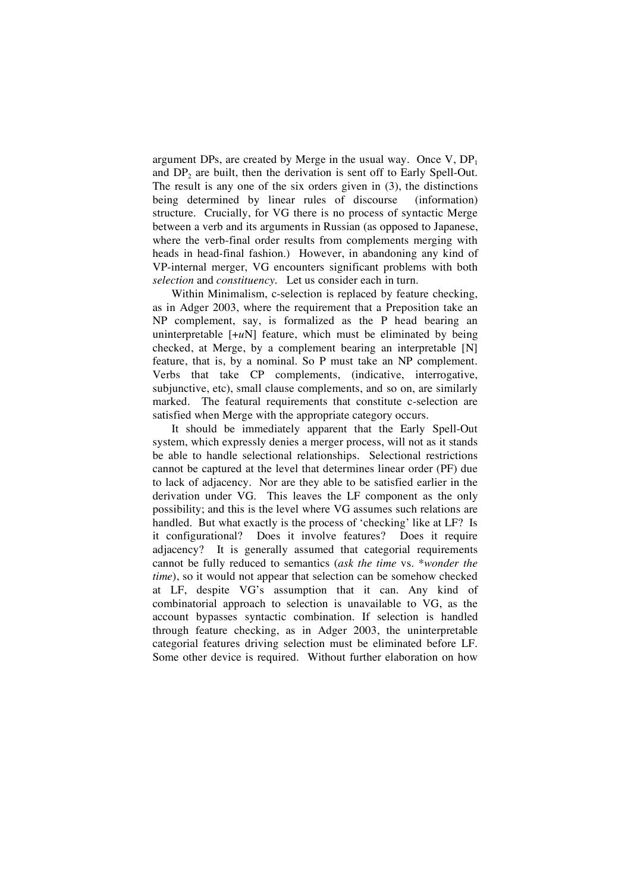argument DPs, are created by Merge in the usual way. Once V,  $DP_1$ and  $DP<sub>2</sub>$  are built, then the derivation is sent off to Early Spell-Out. The result is any one of the six orders given in (3), the distinctions being determined by linear rules of discourse (information) structure. Crucially, for VG there is no process of syntactic Merge between a verb and its arguments in Russian (as opposed to Japanese, where the verb-final order results from complements merging with heads in head-final fashion.) However, in abandoning any kind of VP-internal merger, VG encounters significant problems with both *selection* and *constituency*. Let us consider each in turn.

Within Minimalism, c-selection is replaced by feature checking, as in Adger 2003, where the requirement that a Preposition take an NP complement, say, is formalized as the P head bearing an uninterpretable [+*u*N] feature, which must be eliminated by being checked, at Merge, by a complement bearing an interpretable [N] feature, that is, by a nominal. So P must take an NP complement. Verbs that take CP complements, (indicative, interrogative, subjunctive, etc), small clause complements, and so on, are similarly marked. The featural requirements that constitute c-selection are satisfied when Merge with the appropriate category occurs.

It should be immediately apparent that the Early Spell-Out system, which expressly denies a merger process, will not as it stands be able to handle selectional relationships. Selectional restrictions cannot be captured at the level that determines linear order (PF) due to lack of adjacency. Nor are they able to be satisfied earlier in the derivation under VG. This leaves the LF component as the only possibility; and this is the level where VG assumes such relations are handled. But what exactly is the process of 'checking' like at LF? Is it configurational? Does it involve features? Does it require adjacency? It is generally assumed that categorial requirements cannot be fully reduced to semantics (*ask the time* vs. *\*wonder the time*), so it would not appear that selection can be somehow checked at LF, despite VG's assumption that it can. Any kind of combinatorial approach to selection is unavailable to VG, as the account bypasses syntactic combination. If selection is handled through feature checking, as in Adger 2003, the uninterpretable categorial features driving selection must be eliminated before LF. Some other device is required. Without further elaboration on how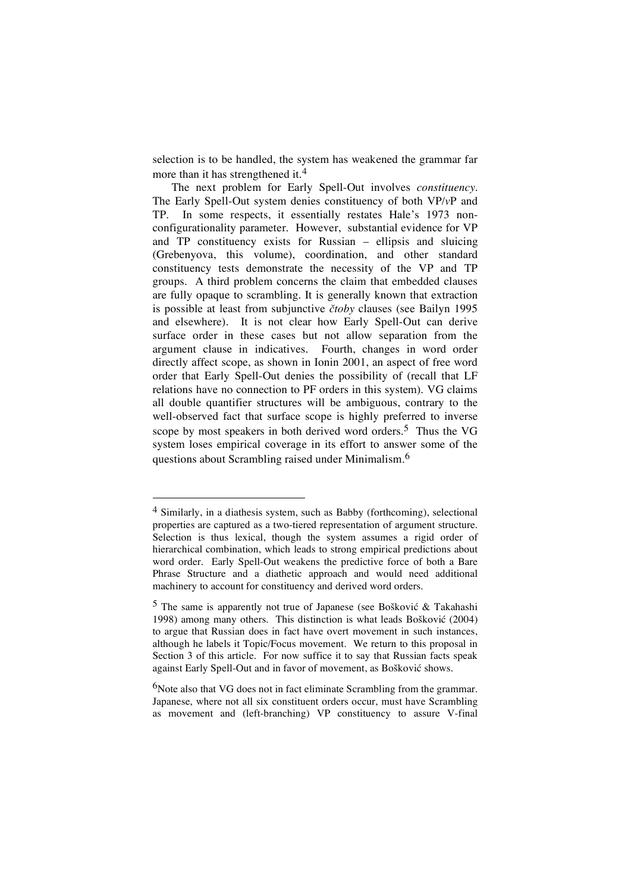selection is to be handled, the system has weakened the grammar far more than it has strengthened it. 4

The next problem for Early Spell-Out involves *constituency*. The Early Spell-Out system denies constituency of both VP/*v*P and TP. In some respects, it essentially restates Hale's 1973 nonconfigurationality parameter. However, substantial evidence for VP and TP constituency exists for Russian – ellipsis and sluicing (Grebenyova, this volume), coordination, and other standard constituency tests demonstrate the necessity of the VP and TP groups. A third problem concerns the claim that embedded clauses are fully opaque to scrambling. It is generally known that extraction is possible at least from subjunctive *čtoby* clauses (see Bailyn 1995) and elsewhere). It is not clear how Early Spell-Out can derive surface order in these cases but not allow separation from the argument clause in indicatives. Fourth, changes in word order directly affect scope, as shown in Ionin 2001, an aspect of free word order that Early Spell-Out denies the possibility of (recall that LF relations have no connection to PF orders in this system). VG claims all double quantifier structures will be ambiguous, contrary to the well-observed fact that surface scope is highly preferred to inverse scope by most speakers in both derived word orders. 5 Thus the VG system loses empirical coverage in its effort to answer some of the questions about Scrambling raised under Minimalism.<sup>6</sup>

 <sup>4</sup> Similarly, in <sup>a</sup> diathesis system, such as Babby (forthcoming), selectional properties are captured as a two-tiered representation of argument structure. Selection is thus lexical, though the system assumes a rigid order of hierarchical combination, which leads to strong empirical predictions about word order. Early Spell-Out weakens the predictive force of both a Bare Phrase Structure and a diathetic approach and would need additional machinery to account for constituency and derived word orders.

 $5$  The same is apparently not true of Japanese (see Bošković & Takahashi 1998) among many others. This distinction is what leads Bošković (2004) to argue that Russian does in fact have overt movement in such instances, although he labels it Topic/Focus movement. We return to this proposal in Section 3 of this article. For now suffice it to say that Russian facts speak against Early Spell-Out and in favor of movement, as Bošković shows.

<sup>&</sup>lt;sup>6</sup>Note also that VG does not in fact eliminate Scrambling from the grammar. Japanese, where not all six constituent orders occur, must have Scrambling as movement and (left-branching) VP constituency to assure V-final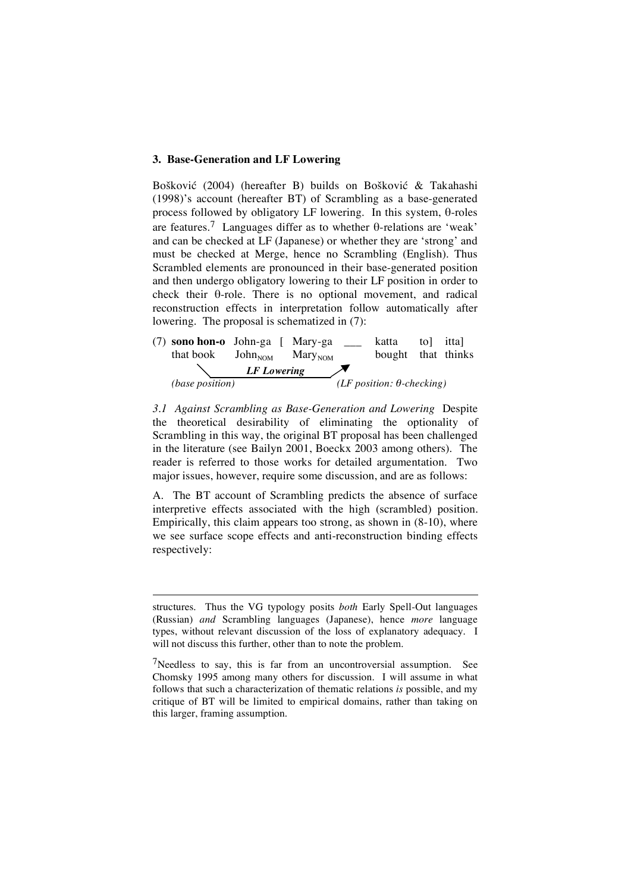## **3. Base-Generation and LF Lowering**

Bošković (2004) (hereafter B) builds on Bošković & Takahashi (1998)'s account (hereafter BT) of Scrambling as a base-generated process followed by obligatory LF lowering. In this system,  $\theta$ -roles are features.<sup>7</sup> Languages differ as to whether  $\theta$ -relations are 'weak' and can be checked at LF (Japanese) or whether they are 'strong' and must be checked at Merge, hence no Scrambling (English). Thus Scrambled elements are pronounced in their base-generated position and then undergo obligatory lowering to their LF position in order to check their  $\theta$ -role. There is no optional movement, and radical reconstruction effects in interpretation follow automatically after lowering. The proposal is schematized in (7):



*3.1 Against Scrambling as Base-Generation and Lowering* Despite the theoretical desirability of eliminating the optionality of Scrambling in this way, the original BT proposal has been challenged in the literature (see Bailyn 2001, Boeckx 2003 among others). The reader is referred to those works for detailed argumentation. Two major issues, however, require some discussion, and are as follows:

A. The BT account of Scrambling predicts the absence of surface interpretive effects associated with the high (scrambled) position. Empirically, this claim appears too strong, as shown in (8-10), where we see surface scope effects and anti-reconstruction binding effects respectively:

-

structures. Thus the VG typology posits *both* Early Spell-Out languages (Russian) *and* Scrambling languages (Japanese), hence *more* language types, without relevant discussion of the loss of explanatory adequacy. I will not discuss this further, other than to note the problem.

<sup>&</sup>lt;sup>7</sup>Needless to say, this is far from an uncontroversial assumption. See Chomsky 1995 among many others for discussion. I will assume in what follows that such a characterization of thematic relations *is* possible, and my critique of BT will be limited to empirical domains, rather than taking on this larger, framing assumption.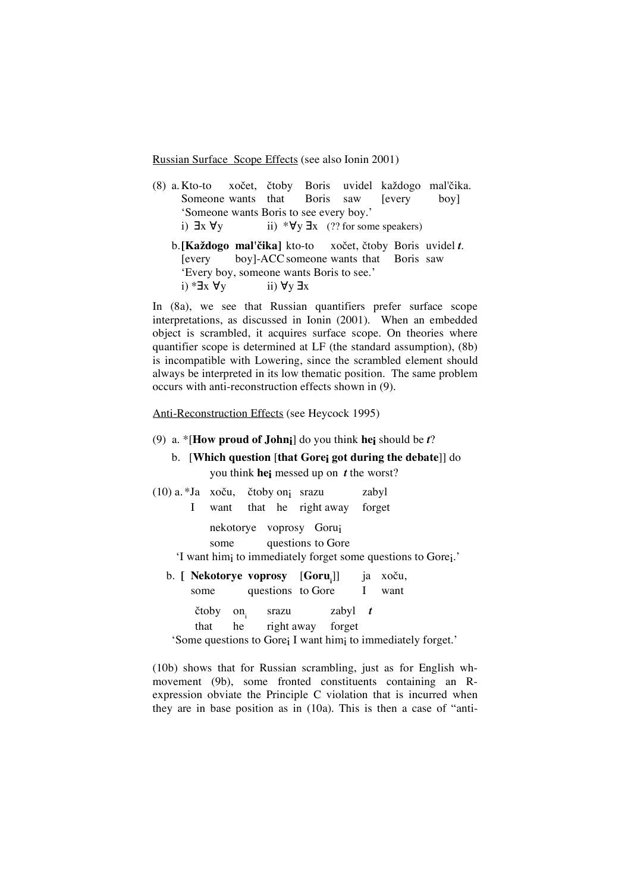Russian Surface Scope Effects (see also Ionin 2001)

- $(8)$  a. Kto-to xočet, čtoby Boris uvidel každogo mal'čika. Someone wants that Boris saw [every boy] 'Someone wants Boris to see every boy.' i)  $\exists x \forall y$  ii)  $*\forall y \exists x$  (?? for some speakers)
	- b.**[Každogo mal'čika]** kto-to xočet, čtoby Boris uvidel *t*. [every boy]-ACCsomeone wants that Boris saw 'Every boy, someone wants Boris to see.' i)  $* \exists x \forall y$  ii)  $\forall y \exists x$

In (8a), we see that Russian quantifiers prefer surface scope interpretations, as discussed in Ionin (2001). When an embedded object is scrambled, it acquires surface scope. On theories where quantifier scope is determined at LF (the standard assumption), (8b) is incompatible with Lowering, since the scrambled element should always be interpreted in its low thematic position. The same problem occurs with anti-reconstruction effects shown in (9).

### Anti-Reconstruction Effects (see Heycock 1995)

### (9) a. \*[**How proud of Johni**] do you think **hei** should be *t*?

b. [**Which question** [**that Gorei got during the debate**]] do you think **hei** messed up on *t* the worst?

| $(10)$ a. *Ja xoču, čtoby on <sub>i</sub> srazu                                                                                            |       |                                                              |       |  |                     | zabyl |                                                                                      |  |
|--------------------------------------------------------------------------------------------------------------------------------------------|-------|--------------------------------------------------------------|-------|--|---------------------|-------|--------------------------------------------------------------------------------------|--|
|                                                                                                                                            |       | I want that he right away forget                             |       |  |                     |       |                                                                                      |  |
| nekotorye voprosy Goruj<br>some questions to Gore<br>'I want him <sub>i</sub> to immediately forget some questions to Gore <sub>i</sub> .' |       |                                                              |       |  |                     |       |                                                                                      |  |
|                                                                                                                                            |       | b. [ <b>Nekotorye voprosy</b> [Goru <sub>i</sub> ]] ja xoču, |       |  |                     |       |                                                                                      |  |
|                                                                                                                                            | some  |                                                              |       |  | questions to Gore I |       | want                                                                                 |  |
|                                                                                                                                            | čtoby | $\mathbf{on}_{\cdot}$                                        | srazu |  | zabyl $t$           |       |                                                                                      |  |
|                                                                                                                                            | that  | he right away forget                                         |       |  |                     |       |                                                                                      |  |
|                                                                                                                                            |       |                                                              |       |  |                     |       | 'Some questions to Gore <sub>i</sub> I want him <sub>i</sub> to immediately forget.' |  |

(10b) shows that for Russian scrambling, just as for English whmovement (9b), some fronted constituents containing an Rexpression obviate the Principle C violation that is incurred when they are in base position as in (10a). This is then a case of "anti-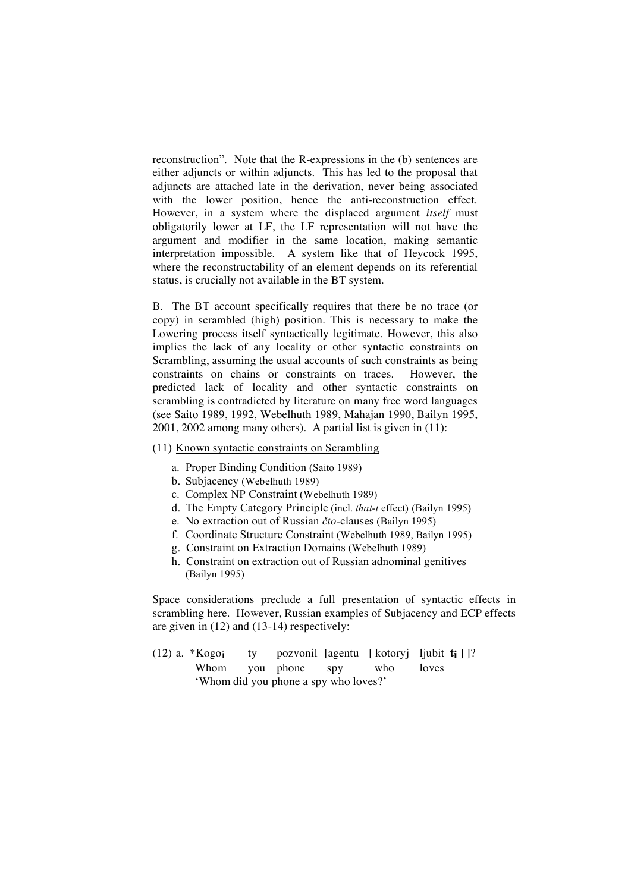reconstruction". Note that the R-expressions in the (b) sentences are either adjuncts or within adjuncts. This has led to the proposal that adjuncts are attached late in the derivation, never being associated with the lower position, hence the anti-reconstruction effect. However, in a system where the displaced argument *itself* must obligatorily lower at LF, the LF representation will not have the argument and modifier in the same location, making semantic interpretation impossible. A system like that of Heycock 1995, where the reconstructability of an element depends on its referential status, is crucially not available in the BT system.

B. The BT account specifically requires that there be no trace (or copy) in scrambled (high) position. This is necessary to make the Lowering process itself syntactically legitimate. However, this also implies the lack of any locality or other syntactic constraints on Scrambling, assuming the usual accounts of such constraints as being constraints on chains or constraints on traces. However, the predicted lack of locality and other syntactic constraints on scrambling is contradicted by literature on many free word languages (see Saito 1989, 1992, Webelhuth 1989, Mahajan 1990, Bailyn 1995, 2001, 2002 among many others). A partial list is given in (11):

## (11) Known syntactic constraints on Scrambling

- a. Proper Binding Condition (Saito 1989)
- b. Subjacency (Webelhuth 1989)
- c. Complex NP Constraint (Webelhuth 1989)
- d. The Empty Category Principle (incl. *that*-*t* effect) (Bailyn 1995)
- e. No extraction out of Russian  $\check{c}$ *to*-clauses (Bailyn 1995)
- f. Coordinate Structure Constraint (Webelhuth 1989, Bailyn 1995)
- g. Constraint on Extraction Domains (Webelhuth 1989)
- h. Constraint on extraction out of Russian adnominal genitives (Bailyn 1995)

Space considerations preclude a full presentation of syntactic effects in scrambling here. However, Russian examples of Subjacency and ECP effects are given in (12) and (13-14) respectively:

|                                       |  |  |  |                              | (12) a. *Kogo; ty pozvonil [agentu [kotoryj ljubit $t_i$ ]]? |  |  |
|---------------------------------------|--|--|--|------------------------------|--------------------------------------------------------------|--|--|
|                                       |  |  |  | Whom you phone spy who loves |                                                              |  |  |
| 'Whom did you phone a spy who loves?' |  |  |  |                              |                                                              |  |  |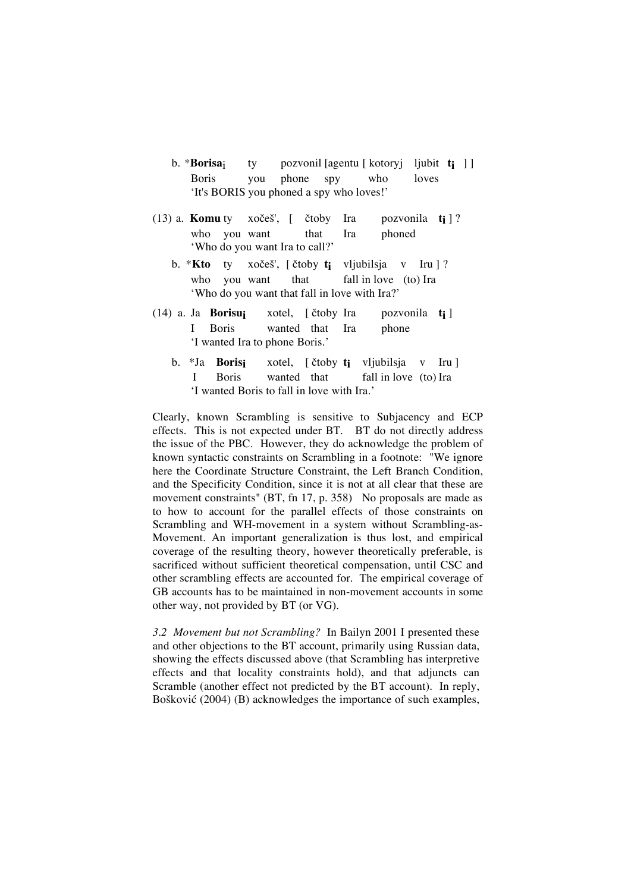- b. \***Borisa**i ty pozvonil [agentu [ kotoryj ljubit **ti** ] ] Boris you phone spy who loves 'It's BORIS you phoned a spy who loves!'
- (13) a. **Komu** ty xočeš',  $\begin{bmatrix} \cot \theta & \cot \theta \\ \cot \theta & \cot \theta \end{bmatrix}$  and **ti**  $\begin{bmatrix} 2 \\ 4 \end{bmatrix}$ ? who you want that Ira phoned 'Who do you want Ira to call?'
	- b. **\*Kto** ty xočeš', [ čtoby **t**<sub>i</sub> vljubilsja v Iru ] ? who you want that fall in love (to) Ira 'Who do you want that fall in love with Ira?'
- $(14)$  a. Ja **Borisui** xotel, [  $\check{c}$  toby Ira pozvonila **ti** ] I Boris wanted that Ira phone 'I wanted Ira to phone Boris.'
	- b. \*Ja **Borisi** xotel, [ čtoby **ti** vljubilsja v Iru ] I Boris wanted that fall in love (to) Ira 'I wanted Boris to fall in love with Ira.'

Clearly, known Scrambling is sensitive to Subjacency and ECP effects. This is not expected under BT. BT do not directly address the issue of the PBC. However, they do acknowledge the problem of known syntactic constraints on Scrambling in a footnote: "We ignore here the Coordinate Structure Constraint, the Left Branch Condition, and the Specificity Condition, since it is not at all clear that these are movement constraints" (BT, fn 17, p. 358) No proposals are made as to how to account for the parallel effects of those constraints on Scrambling and WH-movement in a system without Scrambling-as-Movement. An important generalization is thus lost, and empirical coverage of the resulting theory, however theoretically preferable, is sacrificed without sufficient theoretical compensation, until CSC and other scrambling effects are accounted for. The empirical coverage of GB accounts has to be maintained in non-movement accounts in some other way, not provided by BT (or VG).

*3.2 Movement but not Scrambling?* In Bailyn 2001 I presented these and other objections to the BT account, primarily using Russian data, showing the effects discussed above (that Scrambling has interpretive effects and that locality constraints hold), and that adjuncts can Scramble (another effect not predicted by the BT account). In reply, Bošković (2004) (B) acknowledges the importance of such examples,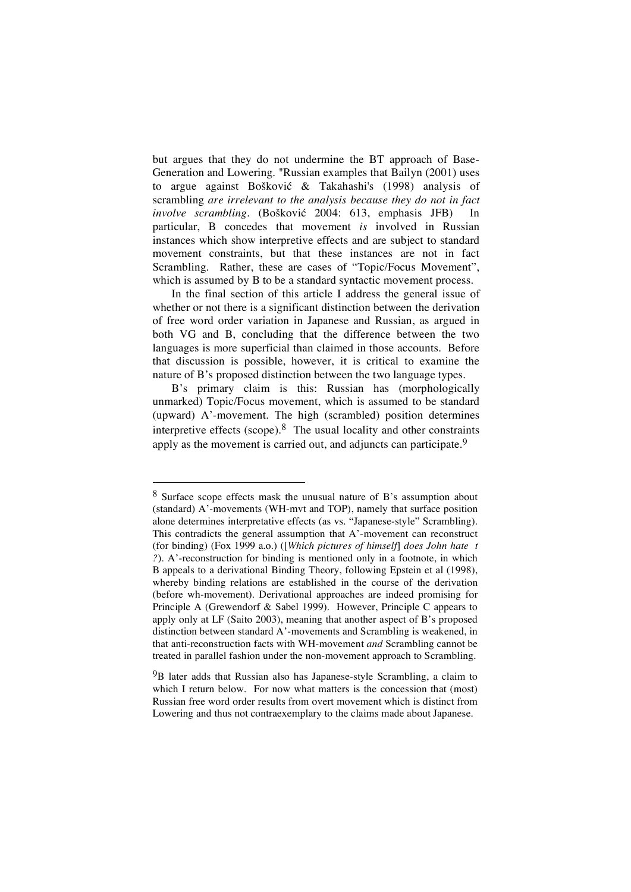but argues that they do not undermine the BT approach of Base-Generation and Lowering. "Russian examples that Bailyn (2001) uses to argue against Bošković & Takahashi's (1998) analysis of scrambling *are irrelevant to the analysis because they do not in fact involve scrambling.* (Bošković 2004: 613, emphasis JFB) In particular, B concedes that movement *is* involved in Russian instances which show interpretive effects and are subject to standard movement constraints, but that these instances are not in fact Scrambling. Rather, these are cases of "Topic/Focus Movement", which is assumed by B to be a standard syntactic movement process.

In the final section of this article I address the general issue of whether or not there is a significant distinction between the derivation of free word order variation in Japanese and Russian, as argued in both VG and B, concluding that the difference between the two languages is more superficial than claimed in those accounts. Before that discussion is possible, however, it is critical to examine the nature of B's proposed distinction between the two language types.

B's primary claim is this: Russian has (morphologically unmarked) Topic/Focus movement, which is assumed to be standard (upward) A'-movement. The high (scrambled) position determines interpretive effects (scope). $8$  The usual locality and other constraints apply as the movement is carried out, and adjuncts can participate.<sup>9</sup>

 <sup>8</sup> Surface scope effects mask the unusual nature of B's assumption about (standard) A'-movements (WH-mvt and TOP), namely that surface position alone determines interpretative effects (as vs. "Japanese-style" Scrambling). This contradicts the general assumption that A'-movement can reconstruct (for binding) (Fox 1999 a.o.) ([*Which pictures of himself*] *does John hate t ?*). A'-reconstruction for binding is mentioned only in a footnote, in which B appeals to a derivational Binding Theory, following Epstein et al (1998), whereby binding relations are established in the course of the derivation (before wh-movement). Derivational approaches are indeed promising for Principle A (Grewendorf & Sabel 1999). However, Principle C appears to apply only at LF (Saito 2003), meaning that another aspect of B's proposed distinction between standard A'-movements and Scrambling is weakened, in that anti-reconstruction facts with WH-movement *and* Scrambling cannot be treated in parallel fashion under the non-movement approach to Scrambling.

<sup>&</sup>lt;sup>9</sup>B later adds that Russian also has Japanese-style Scrambling, a claim to which I return below. For now what matters is the concession that (most) Russian free word order results from overt movement which is distinct from Lowering and thus not contraexemplary to the claims made about Japanese.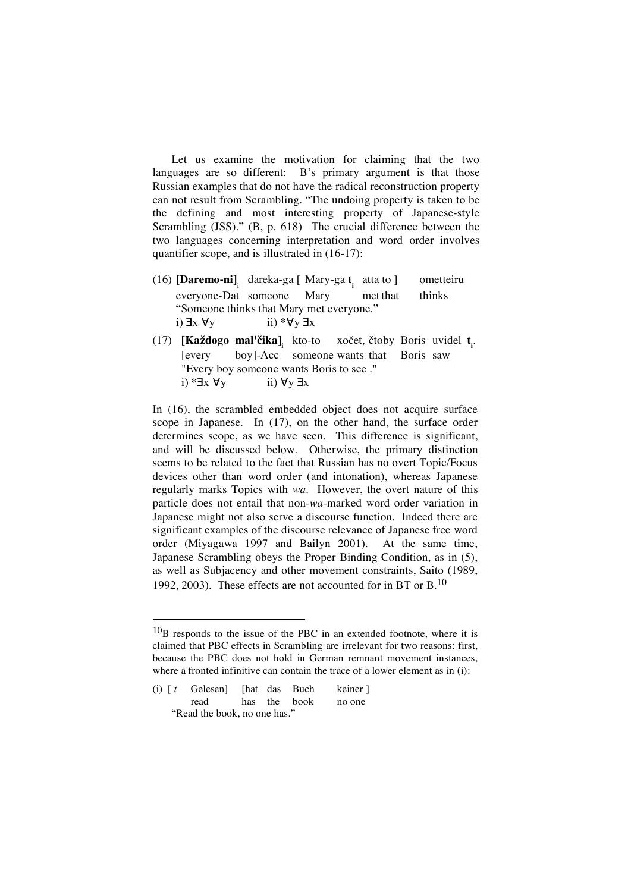Let us examine the motivation for claiming that the two languages are so different: B's primary argument is that those Russian examples that do not have the radical reconstruction property can not result from Scrambling. "The undoing property is taken to be the defining and most interesting property of Japanese-style Scrambling (JSS)." (B, p. 618) The crucial difference between the two languages concerning interpretation and word order involves quantifier scope, and is illustrated in (16-17):

- (16) **[Daremo-ni]** <sup>i</sup> dareka-ga [ Mary-ga **t <sup>i</sup>** atta to ] ometteiru everyone-Dat someone Mary met that thinks "Someone thinks that Mary met everyone." i)  $\exists x \forall y$  ii) \* $\forall y \exists x$
- (17) **[Každogo mal'čika]** kto-to xočet, čtoby Boris uvidel t<sub>i</sub>. [every boy]-Acc someone wants that Boris saw "Every boy someone wants Boris to see ." i)  $* \exists x \forall y$  ii)  $\forall y \exists x$

In (16), the scrambled embedded object does not acquire surface scope in Japanese. In (17), on the other hand, the surface order determines scope, as we have seen. This difference is significant, and will be discussed below. Otherwise, the primary distinction seems to be related to the fact that Russian has no overt Topic/Focus devices other than word order (and intonation), whereas Japanese regularly marks Topics with *wa*. However, the overt nature of this particle does not entail that non-*wa*-marked word order variation in Japanese might not also serve a discourse function. Indeed there are significant examples of the discourse relevance of Japanese free word order (Miyagawa 1997 and Bailyn 2001). At the same time, Japanese Scrambling obeys the Proper Binding Condition, as in (5), as well as Subjacency and other movement constraints, Saito (1989, 1992, 2003). These effects are not accounted for in BT or B.10

 $10<sub>B</sub>$  responds to the issue of the PBC in an extended footnote, where it is claimed that PBC effects in Scrambling are irrelevant for two reasons: first, because the PBC does not hold in German remnant movement instances, where a fronted infinitive can contain the trace of a lower element as in (i):

<sup>(</sup>i)  $[t \text{Gelesen}]$  [hat das Buch keiner] read has the book no one "Read the book, no one has."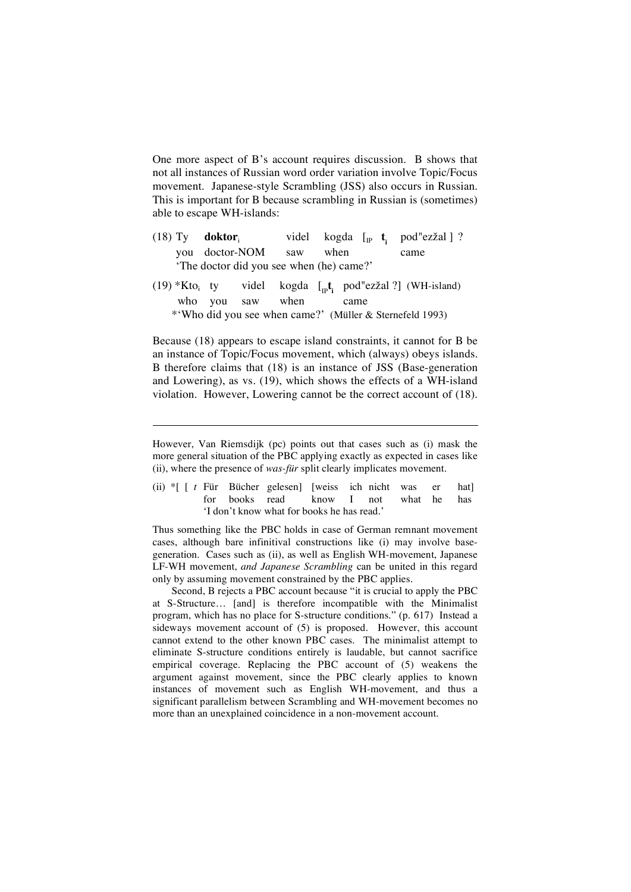One more aspect of B's account requires discussion. B shows that not all instances of Russian word order variation involve Topic/Focus movement. Japanese-style Scrambling (JSS) also occurs in Russian. This is important for B because scrambling in Russian is (sometimes) able to escape WH-islands:

- (18) Ty **doktor**<sub>i</sub> videl kogda  $\lceil_{\text{IP}} \mathbf{t} \rceil$ pod"ezžal ] ? you doctor-NOM saw when came 'The doctor did you see when (he) came?'
- $(19)$  \*Kto<sub>i</sub> ty videl <sub>IP</sub>t<sub>i</sub> pod"ezžal ?] (WH-island) who you saw when came \*'Who did you see when came?' (Müller & Sternefeld 1993)

Because (18) appears to escape island constraints, it cannot for B be an instance of Topic/Focus movement, which (always) obeys islands. B therefore claims that (18) is an instance of JSS (Base-generation and Lowering), as vs. (19), which shows the effects of a WH-island violation. However, Lowering cannot be the correct account of (18).

-

(ii) \*[ [ *t* Für Bücher gelesen] [weiss ich nicht was er hat] for books read know I not what he has 'I don't know what for books he has read.'

Thus something like the PBC holds in case of German remnant movement cases, although bare infinitival constructions like (i) may involve basegeneration. Cases such as (ii), as well as English WH-movement, Japanese LF-WH movement, *and Japanese Scrambling* can be united in this regard only by assuming movement constrained by the PBC applies.

Second, B rejects a PBC account because "it is crucial to apply the PBC at S-Structure… [and] is therefore incompatible with the Minimalist program, which has no place for S-structure conditions." (p. 617) Instead a sideways movement account of (5) is proposed. However, this account cannot extend to the other known PBC cases. The minimalist attempt to eliminate S-structure conditions entirely is laudable, but cannot sacrifice empirical coverage. Replacing the PBC account of (5) weakens the argument against movement, since the PBC clearly applies to known instances of movement such as English WH-movement, and thus a significant parallelism between Scrambling and WH-movement becomes no more than an unexplained coincidence in a non-movement account.

However, Van Riemsdijk (pc) points out that cases such as (i) mask the more general situation of the PBC applying exactly as expected in cases like (ii), where the presence of *was-für* split clearly implicates movement.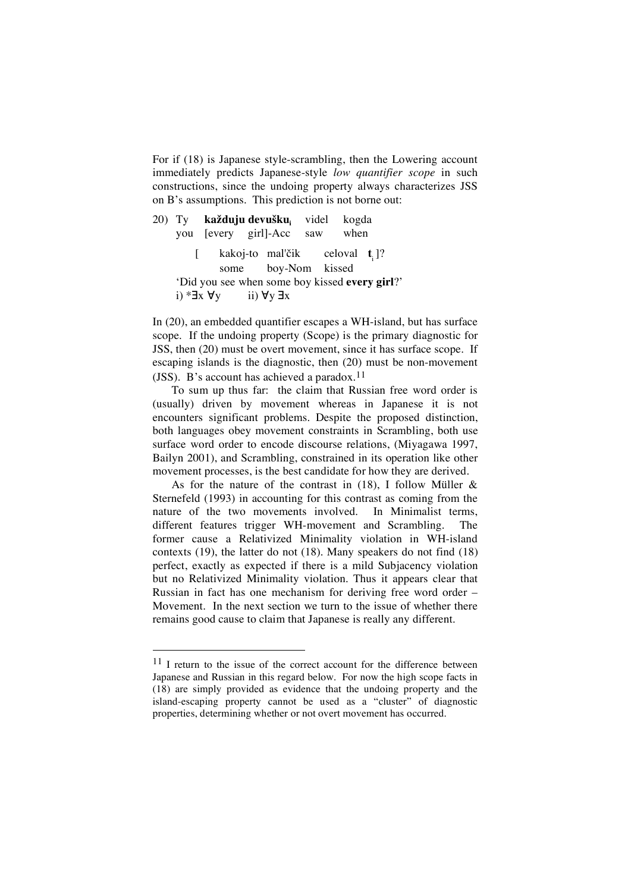For if (18) is Japanese style-scrambling, then the Lowering account immediately predicts Japanese-style *low quantifier scope* in such constructions, since the undoing property always characterizes JSS on B's assumptions. This prediction is not borne out:

20) Ty **každuju devušku**<sub>i</sub> videl kogda<br>vou levery girll-Acc saw when you [every girl]-Acc saw [ kakoj-to mal'čik i ]? some boy-Nom kissed 'Did you see when some boy kissed **every girl**?' i) \* $\exists x \forall y$  ii)  $\forall y \exists x$ 

In (20), an embedded quantifier escapes a WH-island, but has surface scope. If the undoing property (Scope) is the primary diagnostic for JSS, then (20) must be overt movement, since it has surface scope. If escaping islands is the diagnostic, then (20) must be non-movement (JSS). B's account has achieved a paradox. 11

To sum up thus far: the claim that Russian free word order is (usually) driven by movement whereas in Japanese it is not encounters significant problems. Despite the proposed distinction, both languages obey movement constraints in Scrambling, both use surface word order to encode discourse relations, (Miyagawa 1997, Bailyn 2001), and Scrambling, constrained in its operation like other movement processes, is the best candidate for how they are derived.

As for the nature of the contrast in  $(18)$ , I follow Müller & Sternefeld (1993) in accounting for this contrast as coming from the nature of the two movements involved. In Minimalist terms, different features trigger WH-movement and Scrambling. The former cause a Relativized Minimality violation in WH-island contexts (19), the latter do not (18). Many speakers do not find (18) perfect, exactly as expected if there is a mild Subjacency violation but no Relativized Minimality violation. Thus it appears clear that Russian in fact has one mechanism for deriving free word order – Movement. In the next section we turn to the issue of whether there remains good cause to claim that Japanese is really any different.

 $11$  I return to the issue of the correct account for the difference between Japanese and Russian in this regard below. For now the high scope facts in (18) are simply provided as evidence that the undoing property and the island-escaping property cannot be used as a "cluster" of diagnostic properties, determining whether or not overt movement has occurred.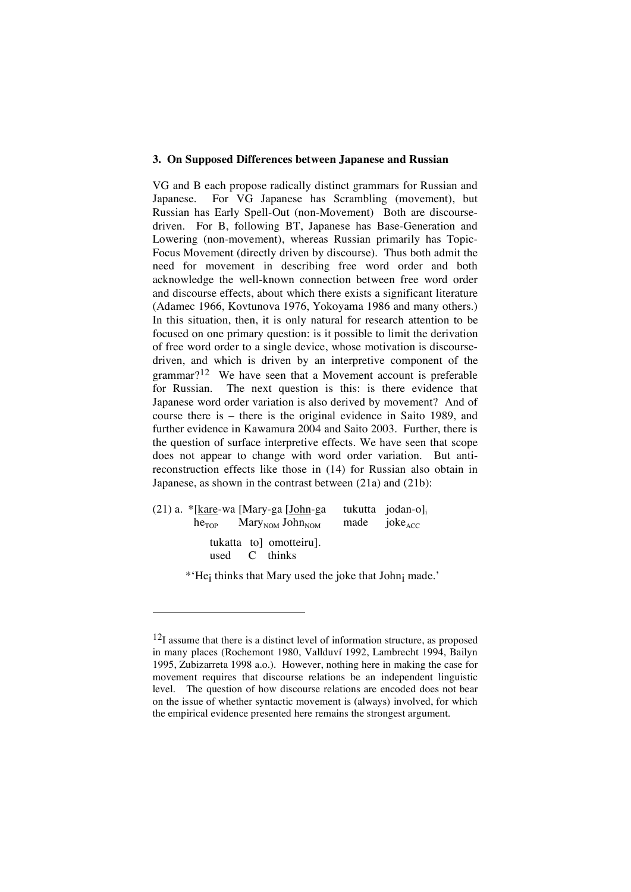#### **3. On Supposed Differences between Japanese and Russian**

VG and B each propose radically distinct grammars for Russian and Japanese. For VG Japanese has Scrambling (movement), but Russian has Early Spell-Out (non-Movement) Both are discoursedriven. For B, following BT, Japanese has Base-Generation and Lowering (non-movement), whereas Russian primarily has Topic-Focus Movement (directly driven by discourse). Thus both admit the need for movement in describing free word order and both acknowledge the well-known connection between free word order and discourse effects, about which there exists a significant literature (Adamec 1966, Kovtunova 1976, Yokoyama 1986 and many others.) In this situation, then, it is only natural for research attention to be focused on one primary question: is it possible to limit the derivation of free word order to a single device, whose motivation is discoursedriven, and which is driven by an interpretive component of the grammar?12 We have seen that a Movement account is preferable for Russian. The next question is this: is there evidence that Japanese word order variation is also derived by movement? And of course there is – there is the original evidence in Saito 1989, and further evidence in Kawamura 2004 and Saito 2003. Further, there is the question of surface interpretive effects. We have seen that scope does not appear to change with word order variation. But antireconstruction effects like those in (14) for Russian also obtain in Japanese, as shown in the contrast between (21a) and (21b):

| $(21)$ a. $*$ [kare-wa [Mary-ga [John-ga        | tukutta jodan-o]  |  |  |
|-------------------------------------------------|-------------------|--|--|
| $heTOP$ Mary <sub>NOM</sub> John <sub>NOM</sub> | made $joke_{ACC}$ |  |  |
| tukatta to omotteiru.<br>used C thinks          |                   |  |  |

-

\*'Hei thinks that Mary used the joke that Johni made.'

 $12$ I assume that there is a distinct level of information structure, as proposed in many places (Rochemont 1980, Vallduví 1992, Lambrecht 1994, Bailyn 1995, Zubizarreta 1998 a.o.). However, nothing here in making the case for movement requires that discourse relations be an independent linguistic level. The question of how discourse relations are encoded does not bear on the issue of whether syntactic movement is (always) involved, for which the empirical evidence presented here remains the strongest argument.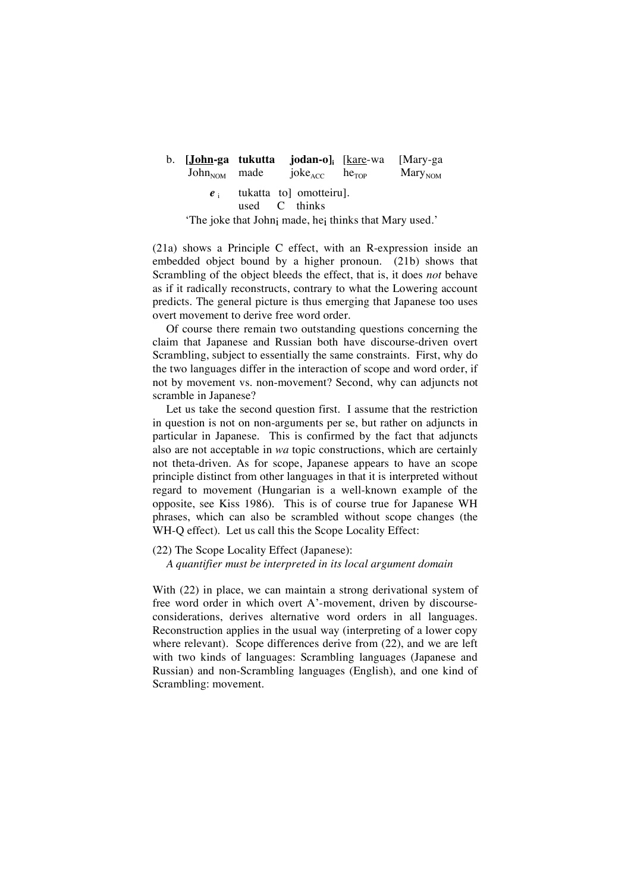## b. **[John-ga tukutta jodan-o]i** [kare-wa [Mary-ga  $John<sub>NOM</sub>$  made joke $_{ACC}$  he<sub>TOP</sub> Mary<sub>NOM</sub>

*e* i tukatta to omotteiru].<br>used C thinks

C thinks

'The joke that Johni made, hei thinks that Mary used.'

(21a) shows a Principle C effect, with an R-expression inside an embedded object bound by a higher pronoun. (21b) shows that Scrambling of the object bleeds the effect, that is, it does *not* behave as if it radically reconstructs, contrary to what the Lowering account predicts. The general picture is thus emerging that Japanese too uses overt movement to derive free word order.

Of course there remain two outstanding questions concerning the claim that Japanese and Russian both have discourse-driven overt Scrambling, subject to essentially the same constraints. First, why do the two languages differ in the interaction of scope and word order, if not by movement vs. non-movement? Second, why can adjuncts not scramble in Japanese?

Let us take the second question first. I assume that the restriction in question is not on non-arguments per se, but rather on adjuncts in particular in Japanese. This is confirmed by the fact that adjuncts also are not acceptable in *wa* topic constructions, which are certainly not theta-driven. As for scope, Japanese appears to have an scope principle distinct from other languages in that it is interpreted without regard to movement (Hungarian is a well-known example of the opposite, see Kiss 1986). This is of course true for Japanese WH phrases, which can also be scrambled without scope changes (the WH-Q effect). Let us call this the Scope Locality Effect:

(22) The Scope Locality Effect (Japanese):

*A quantifier must be interpreted in its local argument domain*

With (22) in place, we can maintain a strong derivational system of free word order in which overt A'-movement, driven by discourseconsiderations, derives alternative word orders in all languages. Reconstruction applies in the usual way (interpreting of a lower copy where relevant). Scope differences derive from (22), and we are left with two kinds of languages: Scrambling languages (Japanese and Russian) and non-Scrambling languages (English), and one kind of Scrambling: movement.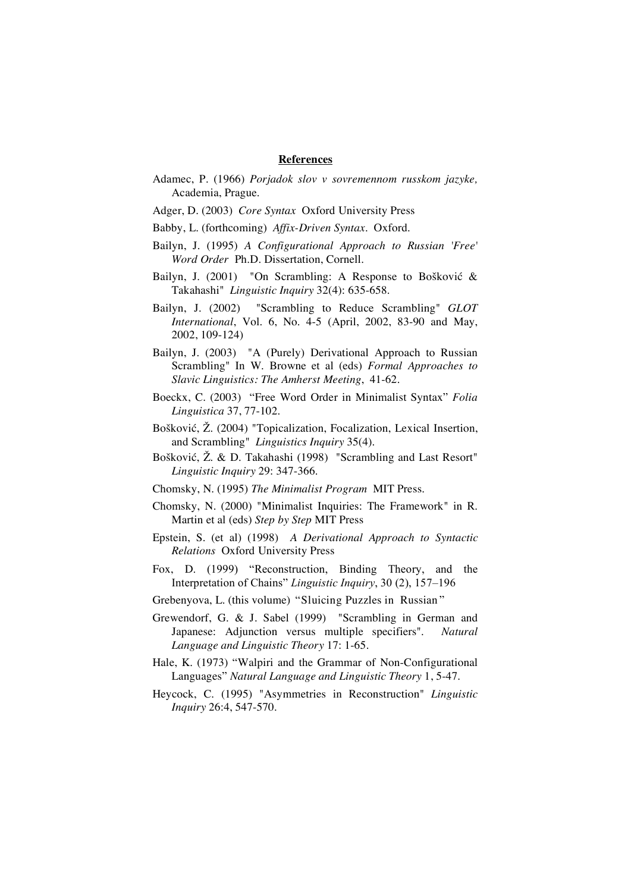#### **References**

- Adamec, P. (1966) *Porjadok slov v sovremennom russkom jazyke,* Academia, Prague.
- Adger, D. (2003) *Core Syntax* Oxford University Press
- Babby, L. (forthcoming) *Affix-Driven Syntax*. Oxford.
- Bailyn, J. (1995) *A Configurational Approach to Russian 'Free' Word Order* Ph.D. Dissertation, Cornell.
- Bailyn, J. (2001) "On Scrambling: A Response to Bošković  $\&$ Takahashi" *Linguistic Inquiry* 32(4): 635-658.
- Bailyn, J. (2002) "Scrambling to Reduce Scrambling" *GLOT International*, Vol. 6, No. 4-5 (April, 2002, 83-90 and May, 2002, 109-124)
- Bailyn, J. (2003) "A (Purely) Derivational Approach to Russian Scrambling" In W. Browne et al (eds) *Formal Approaches to Slavic Linguistics: The Amherst Meeting*, 41-62.
- Boeckx, C. (2003) "Free Word Order in Minimalist Syntax" *Folia Linguistica* 37, 77-102.
- Bošković, Ž. (2004) "Topicalization, Focalization, Lexical Insertion, and Scrambling" *Linguistics Inquiry* 35(4).
- Bošković, Ž. & D. Takahashi (1998) "Scrambling and Last Resort" *Linguistic Inquiry* 29: 347-366.
- Chomsky, N. (1995) *The Minimalist Program* MIT Press.
- Chomsky, N. (2000) "Minimalist Inquiries: The Framework" in R. Martin et al (eds) *Step by Step* MIT Press
- Epstein, S. (et al) (1998) *A Derivational Approach to Syntactic Relations* Oxford University Press
- Fox, D. (1999) "Reconstruction, Binding Theory, and the Interpretation of Chains" *Linguistic Inquiry*, 30 (2), 157–196
- Grebenyova, L. (this volume) "Sluicing Puzzles in Russian "
- Grewendorf, G. & J. Sabel (1999) "Scrambling in German and Japanese: Adjunction versus multiple specifiers". *Natural Language and Linguistic Theory* 17: 1-65.
- Hale, K. (1973) "Walpiri and the Grammar of Non-Configurational Languages" *Natural Language and Linguistic Theory* 1, 5-47.
- Heycock, C. (1995) "Asymmetries in Reconstruction" *Linguistic Inquiry* 26:4, 547-570.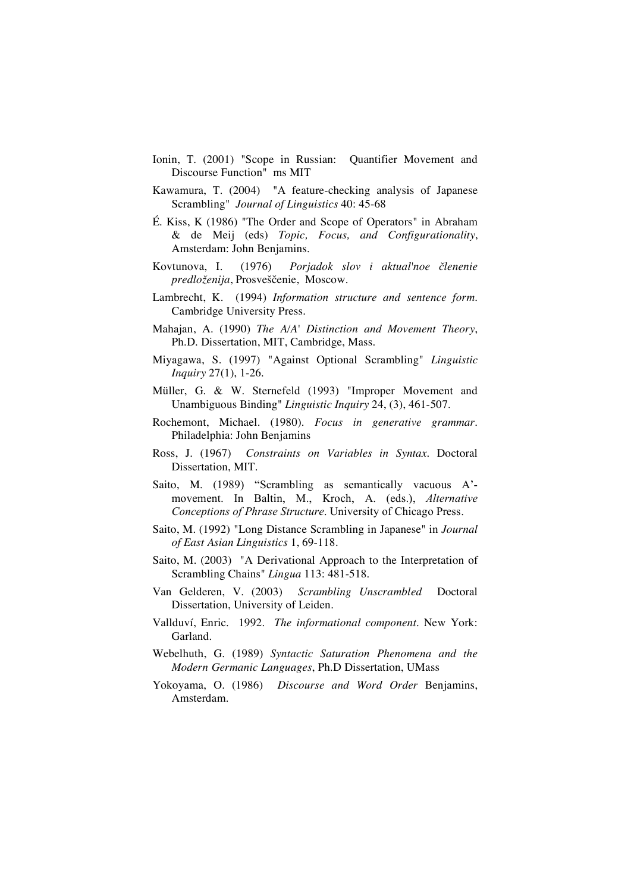- Ionin, T. (2001) "Scope in Russian: Quantifier Movement and Discourse Function" ms MIT
- Kawamura, T. (2004) "A feature-checking analysis of Japanese Scrambling" *Journal of Linguistics* 40: 45-68
- É. Kiss, K (1986) "The Order and Scope of Operators" in Abraham & de Meij (eds) *Topic, Focus, and Configurationality*, Amsterdam: John Benjamins.
- Kovtunova, I. (1976) *Porjadok slov i aktual'noe členenie*  $predloženija$ , Prosveščenie, Moscow.
- Lambrecht, K. (1994) *Information structure and sentence form.* Cambridge University Press.
- Mahajan, A. (1990) *The A/A' Distinction and Movement Theory*, Ph.D. Dissertation, MIT, Cambridge, Mass.
- Miyagawa, S. (1997) "Against Optional Scrambling" *Linguistic Inquiry* 27(1), 1-26.
- Müller, G. & W. Sternefeld (1993) "Improper Movement and Unambiguous Binding" *Linguistic Inquiry* 24, (3), 461-507.
- Rochemont, Michael. (1980). *Focus in generative grammar.* Philadelphia: John Benjamins
- Ross, J. (1967) *Constraints on Variables in Syntax.* Doctoral Dissertation, MIT.
- Saito, M. (1989) "Scrambling as semantically vacuous A' movement. In Baltin, M., Kroch, A. (eds.), *Alternative Conceptions of Phrase Structure*. University of Chicago Press.
- Saito, M. (1992) "Long Distance Scrambling in Japanese" in *Journal of East Asian Linguistics* 1, 69-118.
- Saito, M. (2003) "A Derivational Approach to the Interpretation of Scrambling Chains" *Lingua* 113: 481-518.
- Van Gelderen, V. (2003) *Scrambling Unscrambled* Doctoral Dissertation, University of Leiden.
- Vallduví, Enric. 1992. *The informational component.* New York: Garland.
- Webelhuth, G. (1989) *Syntactic Saturation Phenomena and the Modern Germanic Languages*, Ph.D Dissertation, UMass
- Yokoyama, O. (1986) *Discourse and Word Order* Benjamins, Amsterdam.